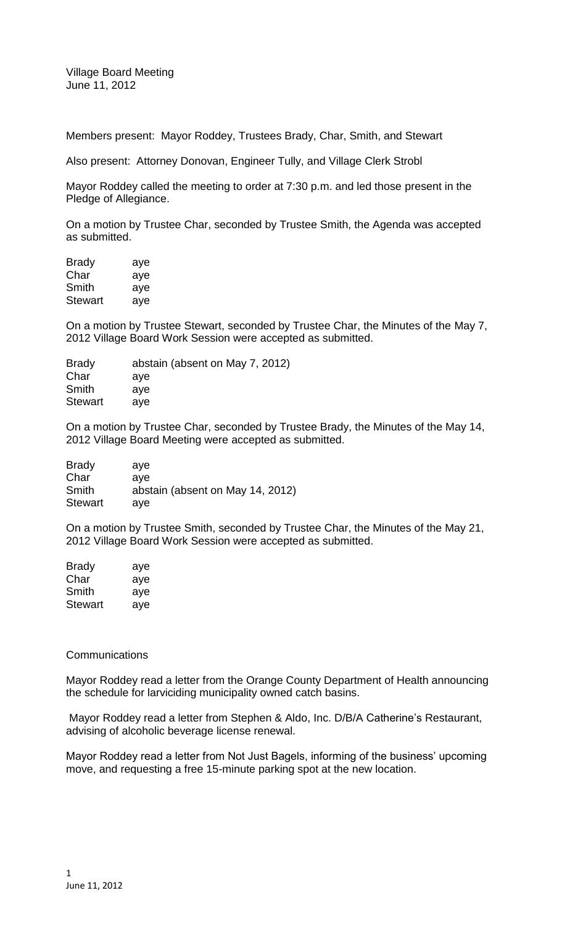Village Board Meeting June 11, 2012

Members present: Mayor Roddey, Trustees Brady, Char, Smith, and Stewart

Also present: Attorney Donovan, Engineer Tully, and Village Clerk Strobl

Mayor Roddey called the meeting to order at 7:30 p.m. and led those present in the Pledge of Allegiance.

On a motion by Trustee Char, seconded by Trustee Smith, the Agenda was accepted as submitted.

| Brady   | aye |
|---------|-----|
| Char    | aye |
| Smith   | aye |
| Stewart | aye |

On a motion by Trustee Stewart, seconded by Trustee Char, the Minutes of the May 7, 2012 Village Board Work Session were accepted as submitted.

| abstain (absent on May 7, 2012) |
|---------------------------------|
|                                 |
|                                 |
|                                 |
|                                 |

On a motion by Trustee Char, seconded by Trustee Brady, the Minutes of the May 14, 2012 Village Board Meeting were accepted as submitted.

| <b>Brady</b>   | ave                              |
|----------------|----------------------------------|
| Char           | ave                              |
| Smith          | abstain (absent on May 14, 2012) |
| <b>Stewart</b> | aye                              |

On a motion by Trustee Smith, seconded by Trustee Char, the Minutes of the May 21, 2012 Village Board Work Session were accepted as submitted.

| <b>Brady</b>   | aye |
|----------------|-----|
| Char           | aye |
| Smith          | aye |
| <b>Stewart</b> | aye |

#### **Communications**

Mayor Roddey read a letter from the Orange County Department of Health announcing the schedule for larviciding municipality owned catch basins.

Mayor Roddey read a letter from Stephen & Aldo, Inc. D/B/A Catherine's Restaurant, advising of alcoholic beverage license renewal.

Mayor Roddey read a letter from Not Just Bagels, informing of the business' upcoming move, and requesting a free 15-minute parking spot at the new location.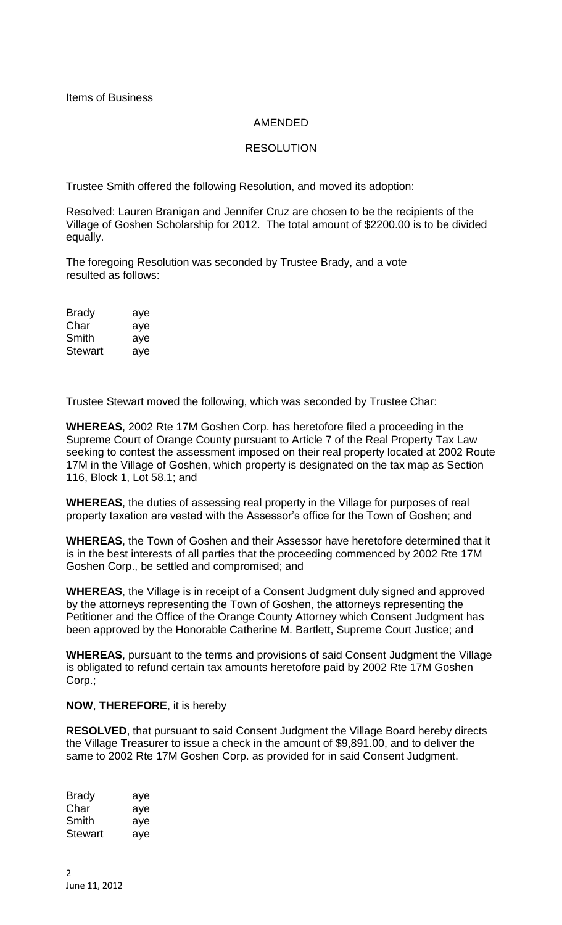# AMENDED

# RESOLUTION

Trustee Smith offered the following Resolution, and moved its adoption:

Resolved: Lauren Branigan and Jennifer Cruz are chosen to be the recipients of the Village of Goshen Scholarship for 2012. The total amount of \$2200.00 is to be divided equally.

The foregoing Resolution was seconded by Trustee Brady, and a vote resulted as follows:

| <b>Brady</b>   | aye |
|----------------|-----|
| Char           | aye |
| Smith          | aye |
| <b>Stewart</b> | aye |

Trustee Stewart moved the following, which was seconded by Trustee Char:

**WHEREAS**, 2002 Rte 17M Goshen Corp. has heretofore filed a proceeding in the Supreme Court of Orange County pursuant to Article 7 of the Real Property Tax Law seeking to contest the assessment imposed on their real property located at 2002 Route 17M in the Village of Goshen, which property is designated on the tax map as Section 116, Block 1, Lot 58.1; and

**WHEREAS**, the duties of assessing real property in the Village for purposes of real property taxation are vested with the Assessor's office for the Town of Goshen; and

**WHEREAS**, the Town of Goshen and their Assessor have heretofore determined that it is in the best interests of all parties that the proceeding commenced by 2002 Rte 17M Goshen Corp., be settled and compromised; and

**WHEREAS**, the Village is in receipt of a Consent Judgment duly signed and approved by the attorneys representing the Town of Goshen, the attorneys representing the Petitioner and the Office of the Orange County Attorney which Consent Judgment has been approved by the Honorable Catherine M. Bartlett, Supreme Court Justice; and

**WHEREAS**, pursuant to the terms and provisions of said Consent Judgment the Village is obligated to refund certain tax amounts heretofore paid by 2002 Rte 17M Goshen Corp.;

### **NOW**, **THEREFORE**, it is hereby

**RESOLVED**, that pursuant to said Consent Judgment the Village Board hereby directs the Village Treasurer to issue a check in the amount of \$9,891.00, and to deliver the same to 2002 Rte 17M Goshen Corp. as provided for in said Consent Judgment.

Brady aye Char aye Smith aye Stewart aye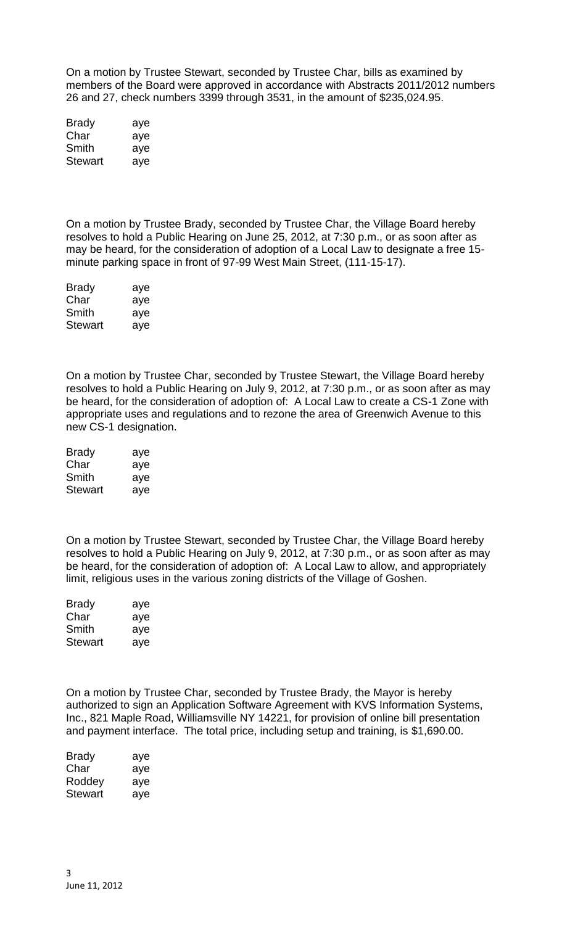On a motion by Trustee Stewart, seconded by Trustee Char, bills as examined by members of the Board were approved in accordance with Abstracts 2011/2012 numbers 26 and 27, check numbers 3399 through 3531, in the amount of \$235,024.95.

| <b>Brady</b>   | aye |
|----------------|-----|
| Char           | aye |
| Smith          | aye |
| <b>Stewart</b> | aye |

On a motion by Trustee Brady, seconded by Trustee Char, the Village Board hereby resolves to hold a Public Hearing on June 25, 2012, at 7:30 p.m., or as soon after as may be heard, for the consideration of adoption of a Local Law to designate a free 15 minute parking space in front of 97-99 West Main Street, (111-15-17).

| <b>Brady</b>   | aye |
|----------------|-----|
| Char           | aye |
| Smith          | aye |
| <b>Stewart</b> | aye |

On a motion by Trustee Char, seconded by Trustee Stewart, the Village Board hereby resolves to hold a Public Hearing on July 9, 2012, at 7:30 p.m., or as soon after as may be heard, for the consideration of adoption of: A Local Law to create a CS-1 Zone with appropriate uses and regulations and to rezone the area of Greenwich Avenue to this new CS-1 designation.

| <b>Brady</b> | aye |
|--------------|-----|
| Char         | aye |
| Smith        | aye |
| Stewart      | aye |

On a motion by Trustee Stewart, seconded by Trustee Char, the Village Board hereby resolves to hold a Public Hearing on July 9, 2012, at 7:30 p.m., or as soon after as may be heard, for the consideration of adoption of: A Local Law to allow, and appropriately limit, religious uses in the various zoning districts of the Village of Goshen.

| <b>Brady</b>   | aye |
|----------------|-----|
| Char           | aye |
| Smith          | aye |
| <b>Stewart</b> | aye |

On a motion by Trustee Char, seconded by Trustee Brady, the Mayor is hereby authorized to sign an Application Software Agreement with KVS Information Systems, Inc., 821 Maple Road, Williamsville NY 14221, for provision of online bill presentation and payment interface. The total price, including setup and training, is \$1,690.00.

| Brady   | aye |
|---------|-----|
| Char    | aye |
| Roddey  | aye |
| Stewart | aye |